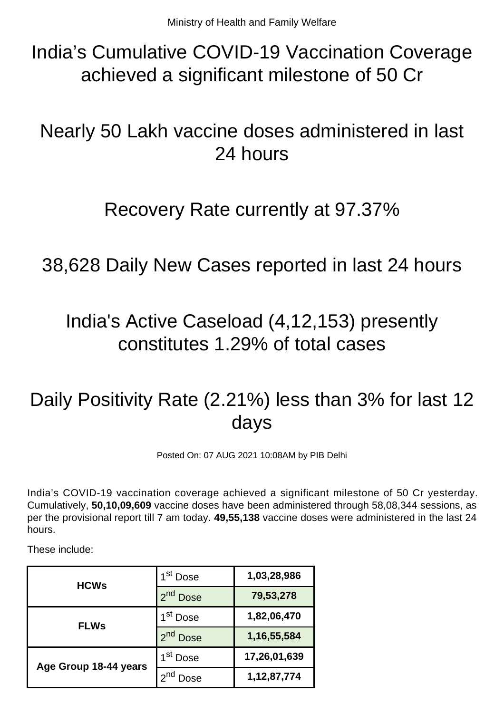India's Cumulative COVID-19 Vaccination Coverage achieved a significant milestone of 50 Cr

## Nearly 50 Lakh vaccine doses administered in last 24 hours

#### Recovery Rate currently at 97.37%

#### 38,628 Daily New Cases reported in last 24 hours

## India's Active Caseload (4,12,153) presently constitutes 1.29% of total cases

# Daily Positivity Rate (2.21%) less than 3% for last 12 days

Posted On: 07 AUG 2021 10:08AM by PIB Delhi

India's COVID-19 vaccination coverage achieved a significant milestone of 50 Cr yesterday. Cumulatively, **50,10,09,609** vaccine doses have been administered through 58,08,344 sessions, as per the provisional report till 7 am today. **49,55,138** vaccine doses were administered in the last 24 hours.

These include:

| <b>HCWs</b>           | I <sup>st</sup> Dose           | 1,03,28,986    |
|-----------------------|--------------------------------|----------------|
|                       | 2 <sub>nd</sub><br><b>Dose</b> | 79,53,278      |
| <b>FLWs</b>           | 1 <sup>st</sup> Dose           | 1,82,06,470    |
|                       | 2 <sup>nd</sup> Dose           | 1, 16, 55, 584 |
| Age Group 18-44 years | 1 <sup>st</sup> Dose           | 17,26,01,639   |
|                       | Jose                           | 1, 12, 87, 774 |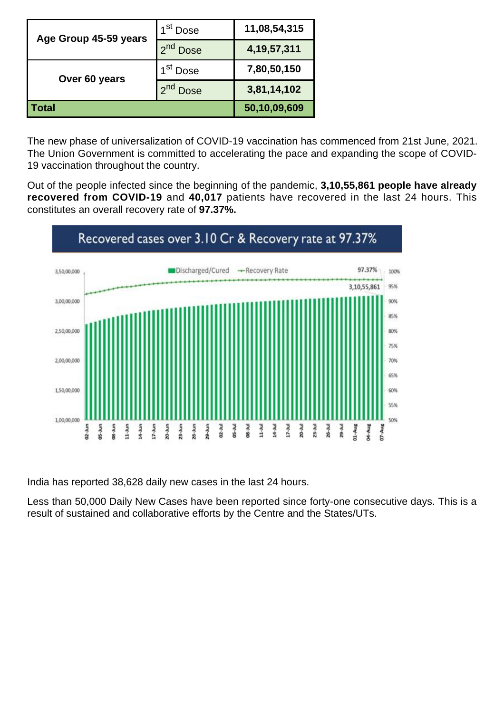| Age Group 45-59 years | 1 <sup>st</sup> Dose | 11,08,54,315   |
|-----------------------|----------------------|----------------|
|                       | 2 <sup>nd</sup> Dose | 4, 19, 57, 311 |
| Over 60 years         | 1 <sup>st</sup> Dose | 7,80,50,150    |
|                       | <b>Dose</b>          | 3,81,14,102    |
| Total                 |                      | 50,10,09,609   |

The new phase of universalization of COVID-19 vaccination has commenced from 21st June, 2021. The Union Government is committed to accelerating the pace and expanding the scope of COVID-19 vaccination throughout the country.

Out of the people infected since the beginning of the pandemic, **3,10,55,861 people have already recovered from COVID-19** and **40,017** patients have recovered in the last 24 hours. This constitutes an overall recovery rate of **97.37%.**



India has reported 38,628 daily new cases in the last 24 hours.

Less than 50,000 Daily New Cases have been reported since forty-one consecutive days. This is a result of sustained and collaborative efforts by the Centre and the States/UTs.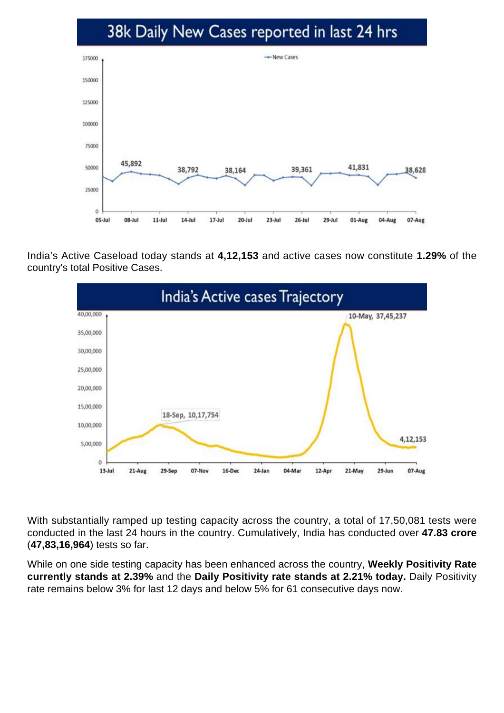#### 38k Daily New Cases reported in last 24 hrs



India's Active Caseload today stands at **4,12,153** and active cases now constitute **1.29%** of the country's total Positive Cases.



With substantially ramped up testing capacity across the country, a total of 17,50,081 tests were conducted in the last 24 hours in the country. Cumulatively, India has conducted over **47.83 crore** (**47,83,16,964**) tests so far.

While on one side testing capacity has been enhanced across the country, **Weekly Positivity Rate currently stands at 2.39%** and the **Daily Positivity rate stands at 2.21% today.** Daily Positivity rate remains below 3% for last 12 days and below 5% for 61 consecutive days now.